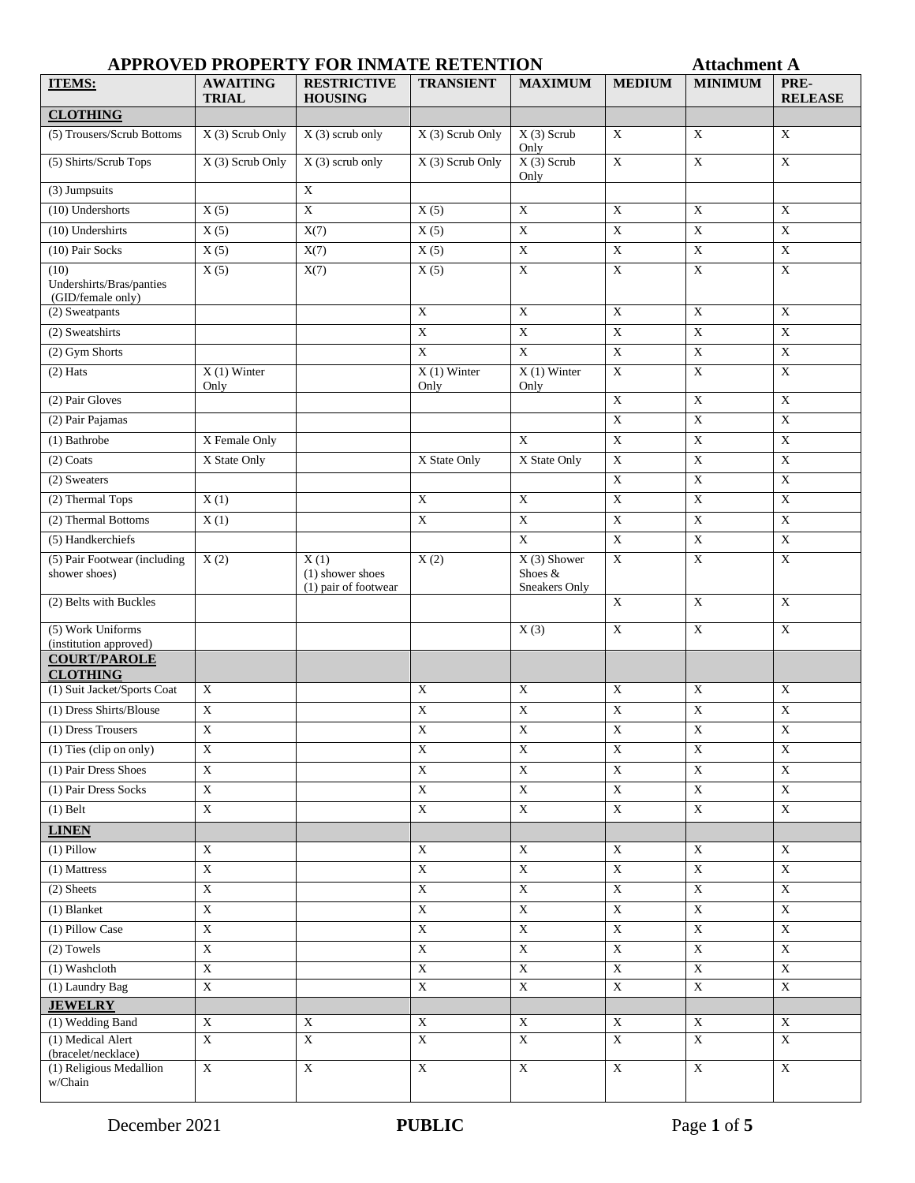## **APPROVED PROPERTY FOR INMATE RETENTION Attachment A**

| <b>ITEMS:</b>                                         | <b>AWAITING</b><br><b>TRIAL</b> | <b>RESTRICTIVE</b><br><b>HOUSING</b>     | <b>TRANSIENT</b>        | <b>MAXIMUM</b>            | <b>MEDIUM</b>             | <b>MINIMUM</b>          | PRE-<br><b>RELEASE</b>  |
|-------------------------------------------------------|---------------------------------|------------------------------------------|-------------------------|---------------------------|---------------------------|-------------------------|-------------------------|
| <b>CLOTHING</b>                                       |                                 |                                          |                         |                           |                           |                         |                         |
| (5) Trousers/Scrub Bottoms                            | X (3) Scrub Only                | $X(3)$ scrub only                        | X (3) Scrub Only        | $X(3)$ Scrub              | X                         | $\overline{X}$          | $\overline{X}$          |
| (5) Shirts/Scrub Tops                                 | X (3) Scrub Only                | $X(3)$ scrub only                        | X (3) Scrub Only        | Only<br>$X(3)$ Scrub      | $\mathbf X$               | $\mathbf X$             | $\mathbf X$             |
| (3) Jumpsuits                                         |                                 | $\mathbf X$                              |                         | Only                      |                           |                         |                         |
| (10) Undershorts                                      | X(5)                            | $\mathbf X$                              | X(5)                    | $\mathbf X$               | $\mathbf X$               | $\mathbf X$             | $\mathbf X$             |
| $(10)$ Undershirts                                    | $\overline{X(5)}$               | X(7)                                     | X(5)                    | $\overline{\text{X}}$     | $\mathbf X$               | $\mathbf X$             | $\mathbf X$             |
| (10) Pair Socks                                       | $\overline{X(5)}$               | X(7)                                     | $\overline{X(5)}$       | $\overline{\text{X}}$     | $\mathbf X$               | $\overline{\textbf{X}}$ | $\mathbf X$             |
| (10)<br>Undershirts/Bras/panties<br>(GID/female only) | X(5)                            | X(7)                                     | X(5)                    | $\mathbf X$               | $\mathbf X$               | $\overline{\mathbf{X}}$ | $\mathbf X$             |
| (2) Sweatpants                                        |                                 |                                          | $\overline{X}$          | $\overline{X}$            | $\overline{X}$            | $\overline{\text{X}}$   | $\overline{X}$          |
| (2) Sweatshirts                                       |                                 |                                          | $\overline{\textbf{X}}$ | $\overline{X}$            | $\mathbf X$               | $\mathbf X$             | $\overline{\mathbf{X}}$ |
| (2) Gym Shorts                                        |                                 |                                          | $\mathbf X$             | $\mathbf X$               | $\mathbf X$               | $\mathbf X$             | $\mathbf X$             |
| $(2)$ Hats                                            | $X(1)$ Winter<br>Only           |                                          | $X(1)$ Winter<br>Only   | $X(1)$ Winter<br>Only     | $\overline{X}$            | $\mathbf X$             | $\mathbf X$             |
| (2) Pair Gloves                                       |                                 |                                          |                         |                           | $\overline{\textbf{X}}$   | $\overline{X}$          | $\overline{\text{X}}$   |
| (2) Pair Pajamas                                      |                                 |                                          |                         |                           | $\overline{X}$            | $\overline{\textbf{X}}$ | $\overline{X}$          |
| $(1)$ Bathrobe                                        | X Female Only                   |                                          |                         | $\mathbf X$               | $\mathbf X$               | $\overline{\textbf{X}}$ | $\mathbf X$             |
| $(2)$ Coats                                           | X State Only                    |                                          | X State Only            | X State Only              | $\mathbf X$               | $\mathbf X$             | $\mathbf X$             |
| (2) Sweaters                                          |                                 |                                          |                         |                           | $\mathbf X$               | $\mathbf X$             | $\overline{\mathbf{X}}$ |
| (2) Thermal Tops                                      | X(1)                            |                                          | $\mathbf X$             | $\mathbf X$               | $\mathbf X$               | $\mathbf X$             | $\mathbf X$             |
| (2) Thermal Bottoms                                   | X(1)                            |                                          | $\overline{\textbf{X}}$ | $\overline{X}$            | $\overline{X}$            | $\overline{\textbf{X}}$ | $\overline{\textbf{X}}$ |
| (5) Handkerchiefs                                     |                                 |                                          |                         | $\mathbf X$               | $\overline{\mathbf{X}}$   | $\mathbf X$             | $\mathbf X$             |
| (5) Pair Footwear (including                          | X(2)                            | X(1)                                     | X(2)                    | $X(3)$ Shower             | $\mathbf X$               | $\mathbf X$             | $\mathbf X$             |
| shower shoes)                                         |                                 | (1) shower shoes<br>(1) pair of footwear |                         | Shoes &<br>Sneakers Only  |                           |                         |                         |
| (2) Belts with Buckles                                |                                 |                                          |                         |                           | $\overline{X}$            | $\overline{X}$          | $\overline{X}$          |
| (5) Work Uniforms<br>(institution approved)           |                                 |                                          |                         | X(3)                      | $\mathbf X$               | $\mathbf X$             | $\mathbf X$             |
| <b>COURT/PAROLE</b><br><b>CLOTHING</b>                |                                 |                                          |                         |                           |                           |                         |                         |
| (1) Suit Jacket/Sports Coat                           | $\mathbf X$                     |                                          | $\overline{\textbf{X}}$ | $\mathbf X$               | $\overline{\mathbf{X}}$   | $\overline{\textbf{X}}$ | $\overline{\textbf{X}}$ |
| (1) Dress Shirts/Blouse                               | $\mathbf X$                     |                                          | $\mathbf X$             | $\boldsymbol{\mathrm{X}}$ | $\overline{\textbf{X}}$   | $\overline{\textbf{X}}$ | $\mathbf X$             |
| (1) Dress Trousers                                    | $\mathbf X$                     |                                          | $\mathbf X$             | $\overline{\textbf{X}}$   | $\mathbf X$               | $\overline{\textbf{X}}$ | $\overline{\textbf{X}}$ |
| $(1)$ Ties (clip on only)                             | $\mathbf X$                     |                                          | $\mathbf X$             | $\mathbf X$               | $\mathbf X$               | $\mathbf X$             | $\mathbf X$             |
| (1) Pair Dress Shoes                                  | $\overline{X}$                  |                                          | $\overline{X}$          | $\overline{X}$            | $\overline{X}$            | $\overline{X}$          | $\overline{X}$          |
| (1) Pair Dress Socks                                  | $\mathbf X$                     |                                          | $\overline{\textbf{X}}$ | $\overline{\textbf{X}}$   | $\mathbf X$               | $\overline{\mathbf{X}}$ | $\mathbf X$             |
| $(1)$ Belt                                            | $\mathbf X$                     |                                          | $\mathbf X$             | $\mathbf X$               | $\mathbf X$               | $\mathbf X$             | $\mathbf X$             |
| <b>LINEN</b>                                          |                                 |                                          |                         |                           |                           |                         |                         |
| $(1)$ Pillow                                          | $\mathbf X$                     |                                          | $\mathbf X$             | $\mathbf X$               | $\boldsymbol{\mathrm{X}}$ | $\mathbf X$             | $\mathbf X$             |
| (1) Mattress                                          | $\overline{\textbf{X}}$         |                                          | $\overline{\textbf{X}}$ | $\bold{X}$                | $\overline{\textbf{X}}$   | $\overline{\textbf{X}}$ | $\overline{\textbf{X}}$ |
| (2) Sheets                                            | $\overline{\textbf{X}}$         |                                          | $\mathbf X$             | $\overline{\textbf{X}}$   | $\overline{\textbf{X}}$   | $\mathbf X$             | $\mathbf X$             |
| (1) Blanket                                           | $\overline{\textbf{X}}$         |                                          | $\overline{\textbf{X}}$ | $\overline{\textbf{X}}$   | $\overline{\textbf{X}}$   | $\overline{\textbf{X}}$ | $\mathbf X$             |
| (1) Pillow Case                                       | $\mathbf X$                     |                                          | $\overline{\mathbf{X}}$ | $\overline{\text{X}}$     | $\mathbf X$               | $\overline{\text{X}}$   | $\overline{\text{X}}$   |
| $(2)$ Towels                                          | $\mathbf X$                     |                                          | $\overline{\mathbf{X}}$ | $\overline{\text{X}}$     | $\mathbf X$               | $\overline{\text{X}}$   | $\overline{\text{X}}$   |
| (1) Washcloth                                         | $\mathbf X$                     |                                          | $\overline{\textbf{X}}$ | $\bold{X}$                | $\overline{X}$            | $\overline{\textbf{X}}$ | $\overline{\text{X}}$   |
| (1) Laundry Bag                                       | $\mathbf X$                     |                                          | $\overline{\textbf{X}}$ | $\overline{\text{X}}$     | $\mathbf X$               | $\overline{\textbf{X}}$ | $\overline{\textbf{X}}$ |
| <b>JEWELRY</b>                                        |                                 |                                          |                         |                           |                           |                         |                         |
| (1) Wedding Band                                      | $\mathbf X$                     | $\mathbf X$                              | $\mathbf X$             | $\mathbf X$               | $\boldsymbol{\mathrm{X}}$ | $\overline{\textbf{X}}$ | $\mathbf X$             |
| (1) Medical Alert<br>(bracelet/necklace)              | $\mathbf X$                     | $\overline{\text{X}}$                    | $\mathbf X$             | $\overline{\text{X}}$     | $\mathbf X$               | $\mathbf X$             | $\mathbf X$             |
| (1) Religious Medallion<br>w/Chain                    | $\mathbf X$                     | $\overline{\textbf{X}}$                  | $\overline{\textbf{X}}$ | $\overline{\textbf{X}}$   | $\mathbf X$               | $\mathbf X$             | $\mathbf X$             |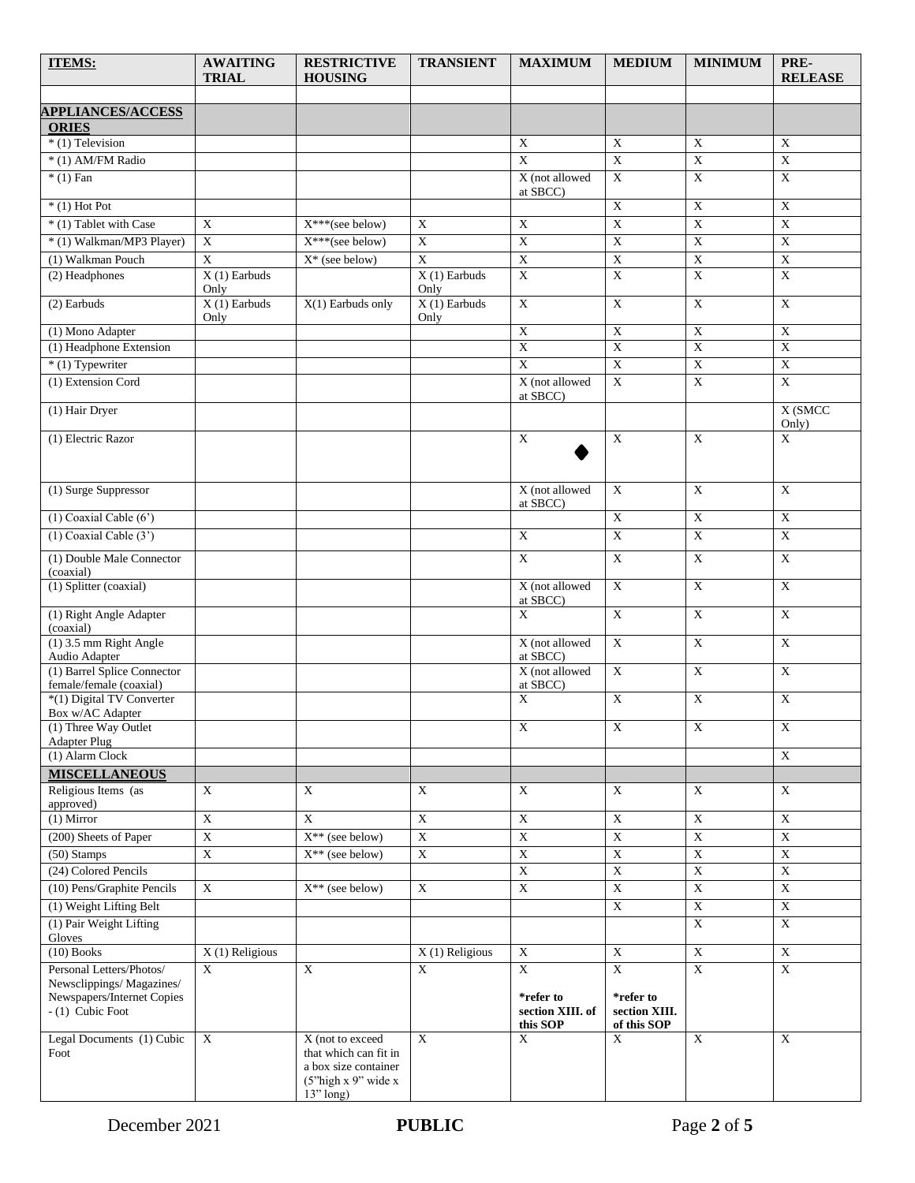| <b>ITEMS:</b>                                            | <b>AWAITING</b>        | <b>RESTRICTIVE</b>                                                | <b>TRANSIENT</b>        | <b>MAXIMUM</b>                            | <b>MEDIUM</b>                             | <b>MINIMUM</b>          | PRE-                      |
|----------------------------------------------------------|------------------------|-------------------------------------------------------------------|-------------------------|-------------------------------------------|-------------------------------------------|-------------------------|---------------------------|
|                                                          | <b>TRIAL</b>           | <b>HOUSING</b>                                                    |                         |                                           |                                           |                         | <b>RELEASE</b>            |
|                                                          |                        |                                                                   |                         |                                           |                                           |                         |                           |
| <b>APPLIANCES/ACCESS</b><br><b>ORIES</b>                 |                        |                                                                   |                         |                                           |                                           |                         |                           |
| * (1) Television                                         |                        |                                                                   |                         | $\mathbf X$                               | $\mathbf X$                               | $\mathbf X$             | $\mathbf X$               |
| * (1) AM/FM Radio                                        |                        |                                                                   |                         | $\overline{X}$                            | $\overline{\textbf{X}}$                   | $\overline{\textbf{X}}$ | $\overline{\textbf{X}}$   |
| $*(1)$ Fan                                               |                        |                                                                   |                         | X (not allowed<br>at SBCC)                | $\overline{X}$                            | $\overline{X}$          | $\overline{\text{X}}$     |
| $*(1)$ Hot Pot                                           |                        |                                                                   |                         |                                           | $\overline{\mathbf{X}}$                   | $\overline{\mathbf{X}}$ | $\overline{\mathbf{X}}$   |
| * (1) Tablet with Case                                   | $\mathbf X$            | $X^{***}$ (see below)                                             | $\mathbf X$             | $\overline{X}$                            | $\overline{X}$                            | $\overline{\textbf{X}}$ | $\overline{X}$            |
| * (1) Walkman/MP3 Player)                                | $\mathbf X$            | X***(see below)                                                   | $\overline{X}$          | $\overline{X}$                            | $\overline{\textbf{X}}$                   | $\overline{\textbf{X}}$ | $\overline{\textbf{X}}$   |
| (1) Walkman Pouch                                        | $\overline{X}$         | $X^*$ (see below)                                                 | $\overline{X}$          | $\overline{X}$                            | $\bold{X}$                                | $\mathbf X$             | $\mathbf X$               |
| (2) Headphones                                           | $X(1)$ Earbuds<br>Only |                                                                   | $X(1)$ Earbuds<br>Only  | $\overline{X}$                            | $\overline{\textbf{X}}$                   | $\overline{X}$          | $\overline{\textbf{X}}$   |
| $(2)$ Earbuds                                            | $X(1)$ Earbuds<br>Only | $X(1)$ Earbuds only                                               | $X(1)$ Earbuds<br>Only  | $\overline{\text{X}}$                     | $\mathbf X$                               | $\overline{\textbf{X}}$ | $\overline{\text{X}}$     |
| (1) Mono Adapter                                         |                        |                                                                   |                         | $\bold{X}$                                | $\overline{X}$                            | $\overline{\textbf{X}}$ | $\boldsymbol{\mathrm{X}}$ |
| (1) Headphone Extension                                  |                        |                                                                   |                         | $\overline{X}$                            | $\overline{X}$                            | $\overline{X}$          | $\overline{\textbf{X}}$   |
| $*(1)$ Typewriter                                        |                        |                                                                   |                         | $\overline{X}$                            | $\overline{X}$                            | $\overline{\textbf{X}}$ | $\overline{\textbf{X}}$   |
| (1) Extension Cord                                       |                        |                                                                   |                         | X (not allowed<br>at SBCC)                | $\overline{X}$                            | $\overline{\textbf{X}}$ | $\overline{\text{X}}$     |
| (1) Hair Dryer                                           |                        |                                                                   |                         |                                           |                                           |                         | X (SMCC<br>Only)          |
| (1) Electric Razor                                       |                        |                                                                   |                         | $\mathbf X$                               | $\mathbf X$                               | $\mathbf X$             | $\mathbf X$               |
|                                                          |                        |                                                                   |                         |                                           |                                           |                         |                           |
| (1) Surge Suppressor                                     |                        |                                                                   |                         | X (not allowed<br>at SBCC)                | $\mathbf X$                               | $\mathbf X$             | $\mathbf X$               |
| $(1)$ Coaxial Cable $(6')$                               |                        |                                                                   |                         |                                           | $\mathbf X$                               | $\overline{\textbf{X}}$ | $\overline{X}$            |
| $(1)$ Coaxial Cable $(3')$                               |                        |                                                                   |                         | $\overline{\text{X}}$                     | $\overline{X}$                            | $\overline{\textbf{X}}$ | $\overline{X}$            |
| (1) Double Male Connector<br>(coaxial)                   |                        |                                                                   |                         | $\mathbf X$                               | $\mathbf X$                               | $\mathbf X$             | $\mathbf X$               |
| (1) Splitter (coaxial)                                   |                        |                                                                   |                         | X (not allowed<br>at SBCC)                | $\mathbf X$                               | $\overline{X}$          | $\mathbf X$               |
| (1) Right Angle Adapter<br>(coaxial)                     |                        |                                                                   |                         | $\overline{X}$                            | $\mathbf X$                               | $\overline{\textbf{X}}$ | $\mathbf X$               |
| (1) 3.5 mm Right Angle<br>Audio Adapter                  |                        |                                                                   |                         | X (not allowed<br>at SBCC)                | $\overline{X}$                            | $\overline{\textbf{X}}$ | $\overline{\text{X}}$     |
| $(1)$ Barrel Splice Connector<br>female/female (coaxial) |                        |                                                                   |                         | X (not allowed<br>at SBCC)                | $\mathbf X$                               | $\mathbf X$             | $\mathbf X$               |
| *(1) Digital TV Converter<br>Box w/AC Adapter            |                        |                                                                   |                         | $\mathbf X$                               | $\mathbf X$                               | $\mathbf X$             | $\mathbf X$               |
| (1) Three Way Outlet                                     |                        |                                                                   |                         | X                                         | Χ                                         | X                       | X                         |
| <b>Adapter Plug</b><br>(1) Alarm Clock                   |                        |                                                                   |                         |                                           |                                           |                         | $\mathbf X$               |
| <b>MISCELLANEOUS</b>                                     |                        |                                                                   |                         |                                           |                                           |                         |                           |
| Religious Items (as                                      | X                      | X                                                                 | X                       | X                                         | $\mathbf X$                               | $\mathbf X$             | $\mathbf X$               |
| approved)                                                |                        |                                                                   |                         |                                           |                                           |                         |                           |
| $(1)$ Mirror                                             | $\mathbf X$            | $\mathbf X$                                                       | $\mathbf X$             | $\mathbf X$                               | $\overline{\mathbf{X}}$                   | $\mathbf X$             | $\mathbf X$               |
| (200) Sheets of Paper                                    | $\mathbf X$            | $X^{**}$ (see below)                                              | $\overline{\textbf{X}}$ | $\overline{\mathbf{X}}$                   | $\overline{\mathbf{X}}$                   | $\overline{\textbf{X}}$ | $\overline{\mathbf{X}}$   |
| (50) Stamps                                              | $\mathbf X$            | $X^{**}$ (see below)                                              | $\mathbf X$             | $\overline{\mathbf{X}}$                   | $\overline{\mathbf{X}}$                   | $\overline{\textbf{X}}$ | $\overline{\mathbf{X}}$   |
| (24) Colored Pencils                                     |                        |                                                                   |                         | $\overline{X}$                            | $\boldsymbol{\mathrm{X}}$                 | $\overline{X}$          | $\overline{X}$            |
| (10) Pens/Graphite Pencils                               | $\mathbf X$            | $X^{**}$ (see below)                                              | $\mathbf X$             | $\mathbf X$                               | $\mathbf X$                               | $\mathbf X$             | $\mathbf X$               |
| (1) Weight Lifting Belt                                  |                        |                                                                   |                         |                                           | $\overline{\mathbf{X}}$                   | $\mathbf X$             | $\mathbf X$               |
| (1) Pair Weight Lifting<br>Gloves                        |                        |                                                                   |                         |                                           |                                           | $\mathbf X$             | $\mathbf X$               |
| $(10)$ Books                                             | $X(1)$ Religious       |                                                                   | $X(1)$ Religious        | $\mathbf X$                               | $\mathbf X$                               | $\mathbf X$             | $\mathbf X$               |
| Personal Letters/Photos/<br>Newsclippings/Magazines/     | $\mathbf X$            | $\mathbf X$                                                       | $\mathbf X$             | X                                         | $\mathbf X$                               | $\mathbf X$             | $\overline{\textbf{X}}$   |
| Newspapers/Internet Copies<br>$- (1)$ Cubic Foot         |                        |                                                                   |                         | *refer to<br>section XIII. of<br>this SOP | *refer to<br>section XIII.<br>of this SOP |                         |                           |
| Legal Documents (1) Cubic<br>Foot                        | $\mathbf X$            | X (not to exceed<br>that which can fit in<br>a box size container | $\mathbf X$             | X                                         | X                                         | $\mathbf X$             | $\mathbf X$               |
|                                                          |                        | (5"high x 9" wide x<br>$13"$ long)                                |                         |                                           |                                           |                         |                           |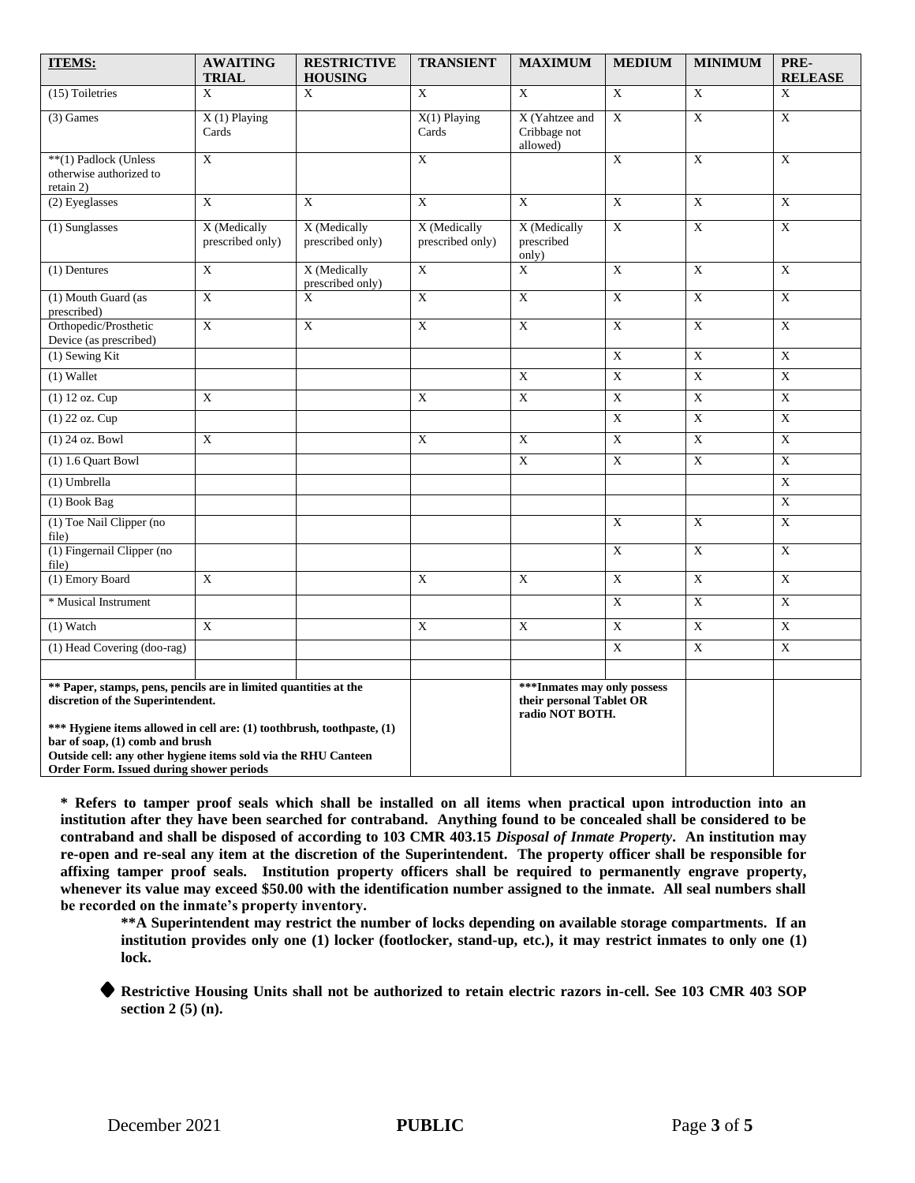| <b>ITEMS:</b>                                                                                                                                                                                                                                                                                                                    | <b>AWAITING</b><br><b>TRIAL</b>  | <b>RESTRICTIVE</b><br><b>HOUSING</b> | <b>TRANSIENT</b>                                                            | <b>MAXIMUM</b>                             | <b>MEDIUM</b>           | <b>MINIMUM</b>          | PRE-<br><b>RELEASE</b>  |
|----------------------------------------------------------------------------------------------------------------------------------------------------------------------------------------------------------------------------------------------------------------------------------------------------------------------------------|----------------------------------|--------------------------------------|-----------------------------------------------------------------------------|--------------------------------------------|-------------------------|-------------------------|-------------------------|
| (15) Toiletries                                                                                                                                                                                                                                                                                                                  | X                                | $\mathbf X$                          | $\overline{\text{X}}$                                                       | $\overline{\text{X}}$                      | $\overline{\text{X}}$   | $\overline{\mathbf{X}}$ | $\mathbf X$             |
| $(3)$ Games                                                                                                                                                                                                                                                                                                                      | $X(1)$ Playing<br>Cards          |                                      | $X(1)$ Playing<br>Cards                                                     | X (Yahtzee and<br>Cribbage not<br>allowed) | X                       | $\overline{\text{X}}$   | X                       |
| **(1) Padlock (Unless<br>otherwise authorized to<br>retain 2)                                                                                                                                                                                                                                                                    | X                                |                                      | X                                                                           |                                            | X                       | $\mathbf X$             | $\mathbf X$             |
| (2) Eyeglasses                                                                                                                                                                                                                                                                                                                   | X                                | X                                    | X                                                                           | $\mathbf X$                                | X                       | $\overline{X}$          | X                       |
| (1) Sunglasses                                                                                                                                                                                                                                                                                                                   | X (Medically<br>prescribed only) | X (Medically<br>prescribed only)     | X (Medically<br>prescribed only)                                            | X (Medically<br>prescribed<br>only)        | $\mathbf X$             | $\mathbf X$             | $\mathbf X$             |
| (1) Dentures                                                                                                                                                                                                                                                                                                                     | $\mathbf X$                      | X (Medically<br>prescribed only)     | $\mathbf X$                                                                 | X                                          | $\mathbf X$             | $\overline{X}$          | $\mathbf X$             |
| (1) Mouth Guard (as<br>prescribed)                                                                                                                                                                                                                                                                                               | $\overline{\textbf{X}}$          | $\mathbf X$                          | $\overline{\textbf{X}}$                                                     | $\bold{X}$                                 | $\overline{\textbf{X}}$ | $\overline{X}$          | $\overline{X}$          |
| Orthopedic/Prosthetic<br>Device (as prescribed)                                                                                                                                                                                                                                                                                  | X                                | $\mathbf X$                          | $\mathbf X$                                                                 | X                                          | $\mathbf X$             | $\overline{X}$          | X                       |
| $(1)$ Sewing Kit                                                                                                                                                                                                                                                                                                                 |                                  |                                      |                                                                             |                                            | $\mathbf X$             | $\overline{X}$          | $\overline{X}$          |
| (1) Wallet                                                                                                                                                                                                                                                                                                                       |                                  |                                      |                                                                             | $\mathbf X$                                | $\mathbf X$             | $\overline{X}$          | $\overline{\text{X}}$   |
| $(1)$ 12 oz. Cup                                                                                                                                                                                                                                                                                                                 | $\mathbf{X}$                     |                                      | $\mathbf X$                                                                 | $\overline{\textbf{X}}$                    | $\mathbf X$             | $\overline{X}$          | $\overline{\textbf{X}}$ |
| (1) 22 oz. Cup                                                                                                                                                                                                                                                                                                                   |                                  |                                      |                                                                             |                                            | $\mathbf X$             | $\overline{X}$          | $\mathbf X$             |
| $(1)$ 24 oz. Bowl                                                                                                                                                                                                                                                                                                                | X                                |                                      | $\mathbf X$                                                                 | $\mathbf X$                                | X                       | $\mathbf X$             | X                       |
| $(1)$ 1.6 Quart Bowl                                                                                                                                                                                                                                                                                                             |                                  |                                      |                                                                             | X                                          | $\overline{X}$          | $\overline{X}$          | X                       |
| (1) Umbrella                                                                                                                                                                                                                                                                                                                     |                                  |                                      |                                                                             |                                            |                         |                         | $\overline{\textbf{X}}$ |
| (1) Book Bag                                                                                                                                                                                                                                                                                                                     |                                  |                                      |                                                                             |                                            |                         |                         | $\overline{X}$          |
| (1) Toe Nail Clipper (no<br>file)                                                                                                                                                                                                                                                                                                |                                  |                                      |                                                                             |                                            | X                       | X                       | X                       |
| (1) Fingernail Clipper (no<br>file)                                                                                                                                                                                                                                                                                              |                                  |                                      |                                                                             |                                            | $\mathbf X$             | $\mathbf X$             | $\mathbf X$             |
| (1) Emory Board                                                                                                                                                                                                                                                                                                                  | X                                |                                      | X                                                                           | X                                          | $\overline{X}$          | $\overline{X}$          | $\overline{X}$          |
| * Musical Instrument                                                                                                                                                                                                                                                                                                             |                                  |                                      |                                                                             |                                            | X                       | $\overline{X}$          | $\overline{X}$          |
| $(1)$ Watch                                                                                                                                                                                                                                                                                                                      | X                                |                                      | $\overline{\textbf{X}}$                                                     | $\overline{\mathbf{X}}$                    | $\overline{\mathbf{X}}$ | $\overline{\mathbf{X}}$ | $\overline{\textbf{X}}$ |
| (1) Head Covering (doo-rag)                                                                                                                                                                                                                                                                                                      |                                  |                                      |                                                                             |                                            | $\mathbf X$             | X                       | X                       |
| ** Paper, stamps, pens, pencils are in limited quantities at the<br>discretion of the Superintendent.<br>*** Hygiene items allowed in cell are: (1) toothbrush, toothpaste, (1)<br>bar of soap, (1) comb and brush<br>Outside cell: any other hygiene items sold via the RHU Canteen<br>Order Form. Issued during shower periods |                                  |                                      | *** Inmates may only possess<br>their personal Tablet OR<br>radio NOT BOTH. |                                            |                         |                         |                         |

**\* Refers to tamper proof seals which shall be installed on all items when practical upon introduction into an institution after they have been searched for contraband. Anything found to be concealed shall be considered to be contraband and shall be disposed of according to 103 CMR 403.15** *Disposal of Inmate Property***. An institution may re-open and re-seal any item at the discretion of the Superintendent. The property officer shall be responsible for affixing tamper proof seals. Institution property officers shall be required to permanently engrave property, whenever its value may exceed \$50.00 with the identification number assigned to the inmate. All seal numbers shall be recorded on the inmate's property inventory.** 

**\*\*A Superintendent may restrict the number of locks depending on available storage compartments. If an institution provides only one (1) locker (footlocker, stand-up, etc.), it may restrict inmates to only one (1) lock.**

**Restrictive Housing Units shall not be authorized to retain electric razors in-cell. See 103 CMR 403 SOP section 2 (5) (n).**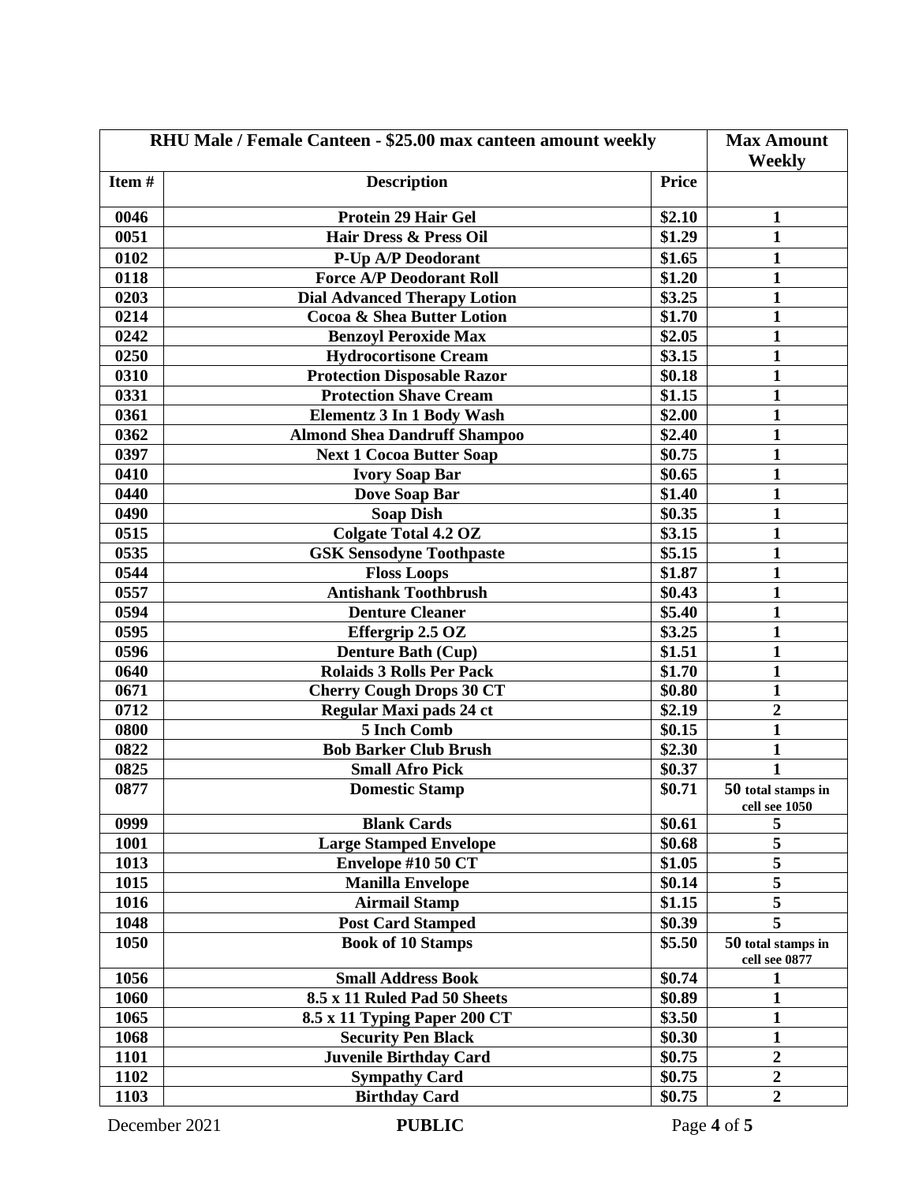| RHU Male / Female Canteen - \$25.00 max canteen amount weekly | <b>Max Amount</b>                   |              |                                     |
|---------------------------------------------------------------|-------------------------------------|--------------|-------------------------------------|
|                                                               | Weekly                              |              |                                     |
| Item#                                                         | <b>Description</b>                  | <b>Price</b> |                                     |
| 0046                                                          | <b>Protein 29 Hair Gel</b>          | \$2.10       | $\mathbf{1}$                        |
| 0051                                                          | <b>Hair Dress &amp; Press Oil</b>   | \$1.29       | $\mathbf{1}$                        |
| 0102                                                          | P-Up A/P Deodorant                  | \$1.65       | $\mathbf{1}$                        |
| 0118                                                          | <b>Force A/P Deodorant Roll</b>     | \$1.20       | $\mathbf{1}$                        |
| 0203                                                          | <b>Dial Advanced Therapy Lotion</b> | \$3.25       | $\mathbf{1}$                        |
| 0214                                                          | Cocoa & Shea Butter Lotion          | \$1.70       | $\mathbf{1}$                        |
| 0242                                                          | <b>Benzoyl Peroxide Max</b>         | \$2.05       | $\mathbf{1}$                        |
| 0250                                                          | <b>Hydrocortisone Cream</b>         | \$3.15       | 1                                   |
| 0310                                                          | <b>Protection Disposable Razor</b>  | \$0.18       | 1                                   |
| 0331                                                          | <b>Protection Shave Cream</b>       | \$1.15       | 1                                   |
| 0361                                                          | <b>Elementz 3 In 1 Body Wash</b>    | \$2.00       | $\mathbf{1}$                        |
| 0362                                                          | <b>Almond Shea Dandruff Shampoo</b> | \$2.40       | $\mathbf{1}$                        |
| 0397                                                          | <b>Next 1 Cocoa Butter Soap</b>     | \$0.75       | $\mathbf{1}$                        |
| 0410                                                          | <b>Ivory Soap Bar</b>               | \$0.65       | $\mathbf{1}$                        |
| 0440                                                          | Dove Soap Bar                       | \$1.40       | 1                                   |
| 0490                                                          | <b>Soap Dish</b>                    | \$0.35       | $\mathbf{1}$                        |
| 0515                                                          | <b>Colgate Total 4.2 OZ</b>         | \$3.15       | $\mathbf{1}$                        |
| 0535                                                          | <b>GSK Sensodyne Toothpaste</b>     | \$5.15       | 1                                   |
| 0544                                                          | <b>Floss Loops</b>                  | \$1.87       | 1                                   |
| 0557                                                          | <b>Antishank Toothbrush</b>         | \$0.43       | 1                                   |
| 0594                                                          | <b>Denture Cleaner</b>              | \$5.40       | $\mathbf{1}$                        |
| 0595                                                          | Effergrip 2.5 OZ                    | \$3.25       | $\mathbf{1}$                        |
| 0596                                                          | <b>Denture Bath (Cup)</b>           | \$1.51       | 1                                   |
| 0640                                                          | <b>Rolaids 3 Rolls Per Pack</b>     | \$1.70       | 1                                   |
| 0671                                                          | <b>Cherry Cough Drops 30 CT</b>     | \$0.80       | $\mathbf{1}$                        |
| 0712                                                          | Regular Maxi pads 24 ct             | \$2.19       | $\boldsymbol{2}$                    |
| 0800                                                          | 5 Inch Comb                         | \$0.15       | $\mathbf{1}$                        |
| 0822                                                          | <b>Bob Barker Club Brush</b>        | \$2.30       | $\mathbf{1}$                        |
| 0825                                                          | <b>Small Afro Pick</b>              | \$0.37       | 1                                   |
| 0877                                                          | <b>Domestic Stamp</b>               | \$0.71       | 50 total stamps in<br>cell see 1050 |
| 0999                                                          | <b>Blank Cards</b>                  | \$0.61       | 5                                   |
| 1001                                                          | <b>Large Stamped Envelope</b>       | \$0.68       | 5                                   |
| 1013                                                          | Envelope #10 50 CT                  | \$1.05       | $\overline{\mathbf{5}}$             |
| 1015                                                          | <b>Manilla Envelope</b>             | \$0.14       | $\overline{5}$                      |
| 1016                                                          | <b>Airmail Stamp</b>                | \$1.15       | 5                                   |
| 1048                                                          | <b>Post Card Stamped</b>            | \$0.39       | 5                                   |
| 1050                                                          | <b>Book of 10 Stamps</b>            | \$5.50       | 50 total stamps in                  |
| 1056                                                          | <b>Small Address Book</b>           | \$0.74       | cell see 0877                       |
| 1060                                                          | 8.5 x 11 Ruled Pad 50 Sheets        | \$0.89       | 1<br>$\mathbf{1}$                   |
| 1065                                                          | 8.5 x 11 Typing Paper 200 CT        | \$3.50       | $\mathbf{1}$                        |
| 1068                                                          | <b>Security Pen Black</b>           | \$0.30       | $\mathbf{1}$                        |
| 1101                                                          | <b>Juvenile Birthday Card</b>       | \$0.75       | $\overline{2}$                      |
| 1102                                                          | <b>Sympathy Card</b>                | \$0.75       | $\overline{2}$                      |
| 1103                                                          | <b>Birthday Card</b>                | \$0.75       | $\overline{2}$                      |
|                                                               |                                     |              |                                     |